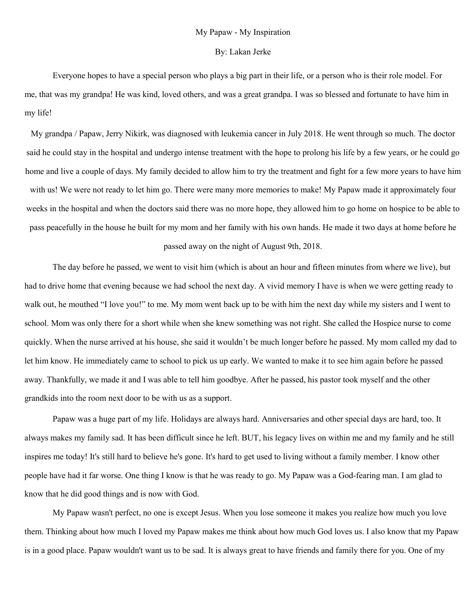## My Papaw - My Inspiration

## By: Lakan Jerke

Everyone hopes to have a special person who plays a big part in their life, or a person who is their role model. For me, that was my grandpa! He was kind, loved others, and was a great grandpa. I was so blessed and fortunate to have him in my life!

My grandpa / Papaw, Jerry Nikirk, was diagnosed with leukemia cancer in July 2018. He went through so much. The doctor said he could stay in the hospital and undergo intense treatment with the hope to prolong his life by a few years, or he could go home and live a couple of days. My family decided to allow him to try the treatment and fight for a few more years to have him with us! We were not ready to let him go. There were many more memories to make! My Papaw made it approximately four weeks in the hospital and when the doctors said there was no more hope, they allowed him to go home on hospice to be able to pass peacefully in the house he built for my mom and her family with his own hands. He made it two days at home before he

passed away on the night of August 9th, 2018.

The day before he passed, we went to visit him (which is about an hour and fifteen minutes from where we live), but had to drive home that evening because we had school the next day. A vivid memory I have is when we were getting ready to walk out, he mouthed "I love you!" to me. My mom went back up to be with him the next day while my sisters and I went to school. Mom was only there for a short while when she knew something was not right. She called the Hospice nurse to come quickly. When the nurse arrived at his house, she said it wouldn't be much longer before he passed. My mom called my dad to let him know. He immediately came to school to pick us up early. We wanted to make it to see him again before he passed away. Thankfully, we made it and I was able to tell him goodbye. After he passed, his pastor took myself and the other grandkids into the room next door to be with us as a support.

Papaw was a huge part of my life. Holidays are always hard. Anniversaries and other special days are hard, too. It always makes my family sad. It has been difficult since he left. BUT, his legacy lives on within me and my family and he still inspires me today! It's still hard to believe he's gone. It's hard to get used to living without a family member. I know other people have had it far worse. One thing I know is that he was ready to go. My Papaw was a God-fearing man. I am glad to know that he did good things and is now with God.

My Papaw wasn't perfect, no one is except Jesus. When you lose someone it makes you realize how much you love them. Thinking about how much I loved my Papaw makes me think about how much God loves us. I also know that my Papaw is in a good place. Papaw wouldn't want us to be sad. It is always great to have friends and family there for you. One of my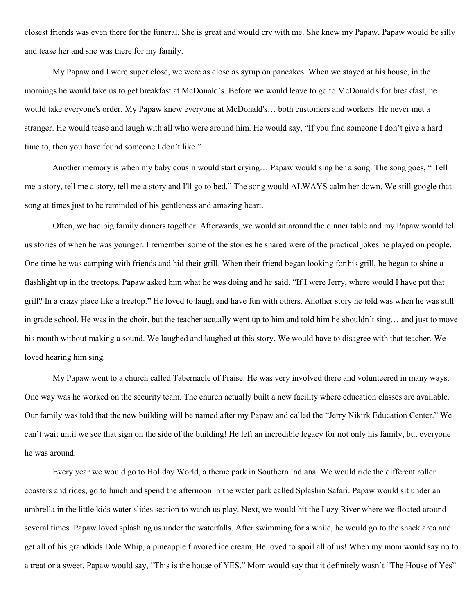closest friends was even there for the funeral. She is great and would cry with me. She knew my Papaw. Papaw would be silly and tease her and she was there for my family.

My Papaw and I were super close, we were as close as syrup on pancakes. When we stayed at his house, in the mornings he would take us to get breakfast at McDonald's. Before we would leave to go to McDonald's for breakfast, he would take everyone's order. My Papaw knew everyone at McDonald's… both customers and workers. He never met a stranger. He would tease and laugh with all who were around him. He would say, "If you find someone I don't give a hard time to, then you have found someone I don't like."

Another memory is when my baby cousin would start crying… Papaw would sing her a song. The song goes, " Tell me a story, tell me a story, tell me a story and I'll go to bed." The song would ALWAYS calm her down. We still google that song at times just to be reminded of his gentleness and amazing heart.

Often, we had big family dinners together. Afterwards, we would sit around the dinner table and my Papaw would tell us stories of when he was younger. I remember some of the stories he shared were of the practical jokes he played on people. One time he was camping with friends and hid their grill. When their friend began looking for his grill, he began to shine a flashlight up in the treetops. Papaw asked him what he was doing and he said, "If I were Jerry, where would I have put that grill? In a crazy place like a treetop." He loved to laugh and have fun with others. Another story he told was when he was still in grade school. He was in the choir, but the teacher actually went up to him and told him he shouldn't sing… and just to move his mouth without making a sound. We laughed and laughed at this story. We would have to disagree with that teacher. We loved hearing him sing.

My Papaw went to a church called Tabernacle of Praise. He was very involved there and volunteered in many ways. One way was he worked on the security team. The church actually built a new facility where education classes are available. Our family was told that the new building will be named after my Papaw and called the "Jerry Nikirk Education Center." We can't wait until we see that sign on the side of the building! He left an incredible legacy for not only his family, but everyone he was around.

Every year we would go to Holiday World, a theme park in Southern Indiana. We would ride the different roller coasters and rides, go to lunch and spend the afternoon in the water park called Splashin Safari. Papaw would sit under an umbrella in the little kids water slides section to watch us play. Next, we would hit the Lazy River where we floated around several times. Papaw loved splashing us under the waterfalls. After swimming for a while, he would go to the snack area and get all of his grandkids Dole Whip, a pineapple flavored ice cream. He loved to spoil all of us! When my mom would say no to a treat or a sweet, Papaw would say, "This is the house of YES." Mom would say that it definitely wasn't "The House of Yes"